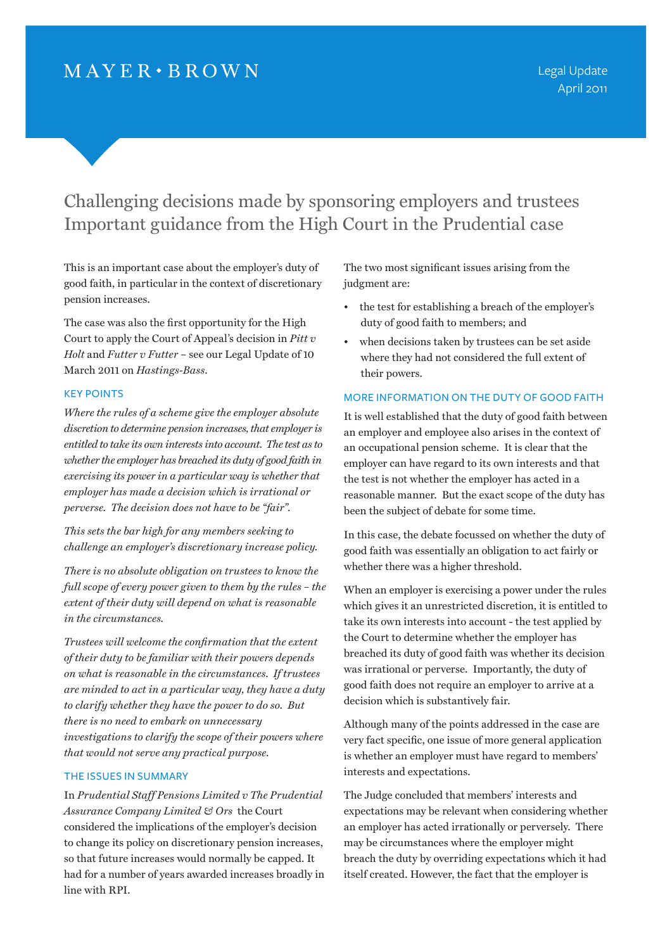## $MAYER \cdot BROWN$

# Challenging decisions made by sponsoring employers and trustees Important guidance from the High Court in the Prudential case

This is an important case about the employer's duty of good faith, in particular in the context of discretionary pension increases.

The case was also the first opportunity for the High Court to apply the Court of Appeal's decision in *Pitt v Holt* and *Futter v Futter* – see our Legal Update of 10 March 2011 on *Hastings-Bass*.

## Key points

*Where the rules of a scheme give the employer absolute discretion to determine pension increases, that employer is entitled to take its own interests into account. The test as to whether the employer has breached its duty of good faith in exercising its power in a particular way is whether that employer has made a decision which is irrational or perverse. The decision does not have to be "fair".* 

*This sets the bar high for any members seeking to challenge an employer's discretionary increase policy.*

*There is no absolute obligation on trustees to know the full scope of every power given to them by the rules – the extent of their duty will depend on what is reasonable in the circumstances.* 

*Trustees will welcome the confirmation that the extent of their duty to be familiar with their powers depends on what is reasonable in the circumstances. If trustees are minded to act in a particular way, they have a duty to clarify whether they have the power to do so. But there is no need to embark on unnecessary investigations to clarify the scope of their powers where that would not serve any practical purpose.*

## The issues in summary

In *Prudential Staff Pensions Limited v The Prudential Assurance Company Limited & Ors* the Court considered the implications of the employer's decision to change its policy on discretionary pension increases, so that future increases would normally be capped. It had for a number of years awarded increases broadly in line with RPI.

The two most significant issues arising from the judgment are:

- the test for establishing a breach of the employer's duty of good faith to members; and
- when decisions taken by trustees can be set aside where they had not considered the full extent of their powers.

#### More information on the duty of good faith

It is well established that the duty of good faith between an employer and employee also arises in the context of an occupational pension scheme. It is clear that the employer can have regard to its own interests and that the test is not whether the employer has acted in a reasonable manner. But the exact scope of the duty has been the subject of debate for some time.

In this case, the debate focussed on whether the duty of good faith was essentially an obligation to act fairly or whether there was a higher threshold.

When an employer is exercising a power under the rules which gives it an unrestricted discretion, it is entitled to take its own interests into account - the test applied by the Court to determine whether the employer has breached its duty of good faith was whether its decision was irrational or perverse. Importantly, the duty of good faith does not require an employer to arrive at a decision which is substantively fair.

Although many of the points addressed in the case are very fact specific, one issue of more general application is whether an employer must have regard to members' interests and expectations.

The Judge concluded that members' interests and expectations may be relevant when considering whether an employer has acted irrationally or perversely. There may be circumstances where the employer might breach the duty by overriding expectations which it had itself created. However, the fact that the employer is